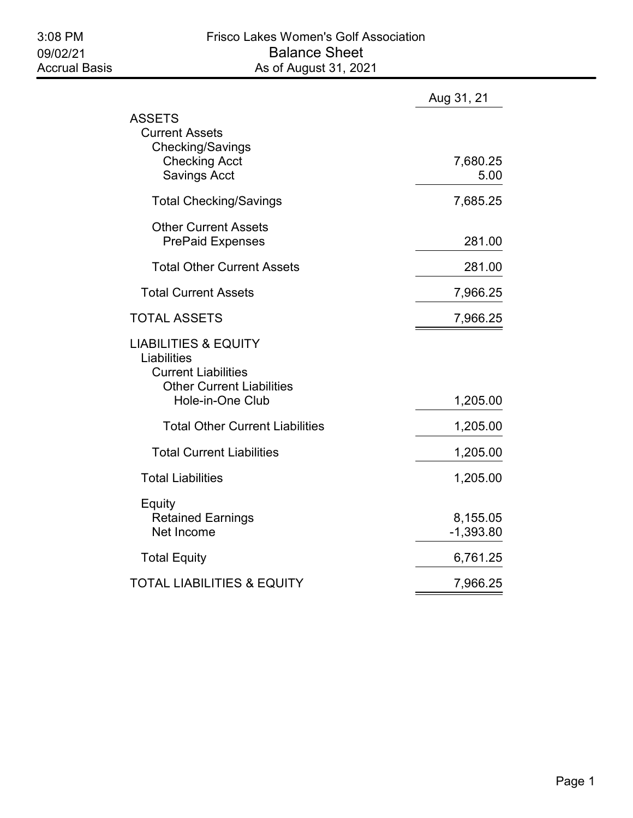|                                                                                                                                      | Aug 31, 21              |
|--------------------------------------------------------------------------------------------------------------------------------------|-------------------------|
| ASSETS<br><b>Current Assets</b><br>Checking/Savings<br><b>Checking Acct</b><br><b>Savings Acct</b>                                   | 7,680.25<br>5.00        |
| <b>Total Checking/Savings</b>                                                                                                        | 7,685.25                |
| <b>Other Current Assets</b><br><b>PrePaid Expenses</b>                                                                               | 281.00                  |
| <b>Total Other Current Assets</b>                                                                                                    | 281.00                  |
| <b>Total Current Assets</b>                                                                                                          | 7,966.25                |
| <b>TOTAL ASSETS</b>                                                                                                                  | 7,966.25                |
| <b>LIABILITIES &amp; EQUITY</b><br>Liabilities<br><b>Current Liabilities</b><br><b>Other Current Liabilities</b><br>Hole-in-One Club | 1,205.00                |
| <b>Total Other Current Liabilities</b>                                                                                               | 1,205.00                |
| <b>Total Current Liabilities</b>                                                                                                     | 1,205.00                |
| <b>Total Liabilities</b>                                                                                                             | 1,205.00                |
| Equity<br><b>Retained Earnings</b><br>Net Income                                                                                     | 8,155.05<br>$-1,393.80$ |
| <b>Total Equity</b>                                                                                                                  | 6,761.25                |
| TOTAL LIABILITIES & EQUITY                                                                                                           | 7,966.25                |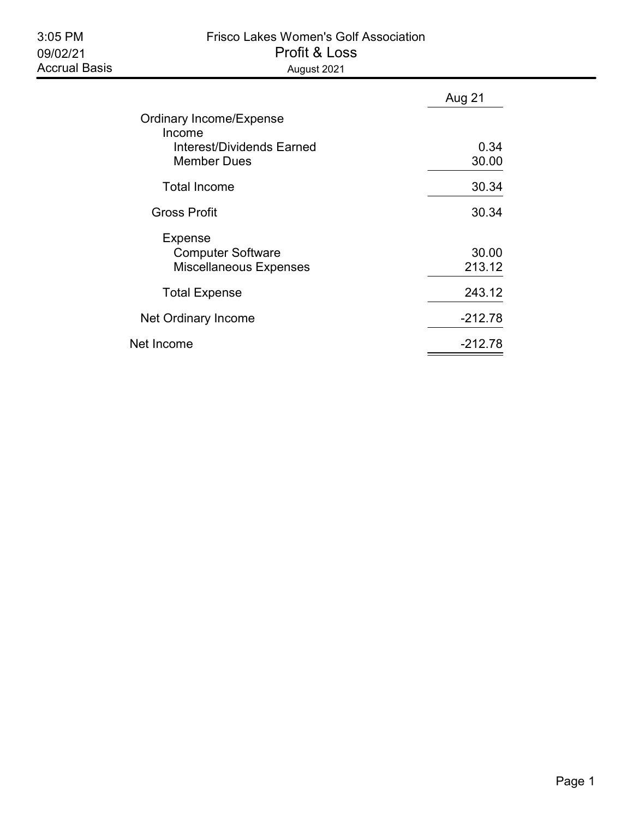## 3:05 PM Frisco Lakes Women's Golf Association 09/02/21 Profit & Loss Accrual Basis **August 2021**

|                                          | Aug 21    |
|------------------------------------------|-----------|
| <b>Ordinary Income/Expense</b><br>Income |           |
| Interest/Dividends Earned                | 0.34      |
| <b>Member Dues</b>                       | 30.00     |
| <b>Total Income</b>                      | 30.34     |
| <b>Gross Profit</b>                      | 30.34     |
| <b>Expense</b>                           | 30.00     |
| <b>Computer Software</b>                 | 213.12    |
| <b>Miscellaneous Expenses</b>            |           |
| <b>Total Expense</b>                     | 243.12    |
| Net Ordinary Income                      | $-212.78$ |
| Net Income                               | -212.78   |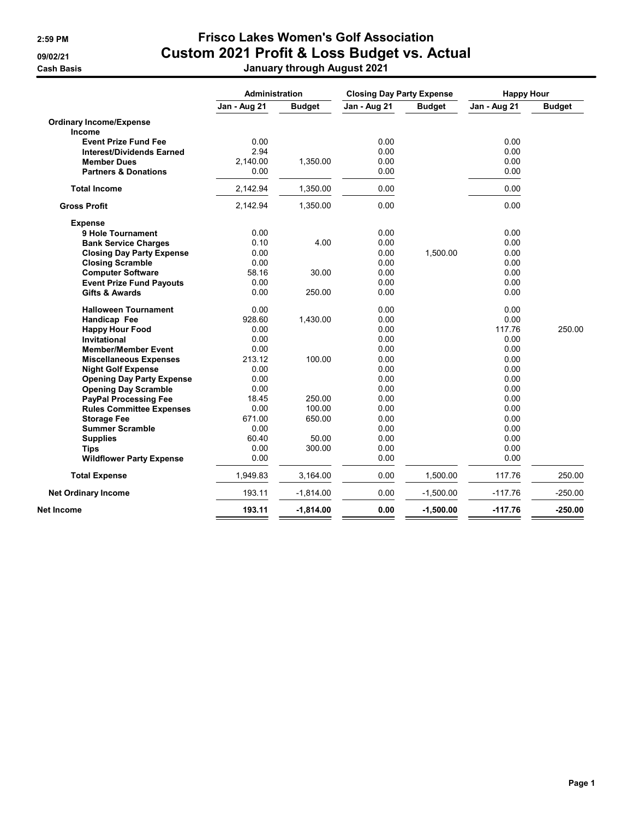## 2:59 PM Frisco Lakes Women's Golf Association 09/02/21 Custom 2021 Profit & Loss Budget vs. Actual Cash Basis January through August 2021

|                                  | Administration |               | <b>Closing Day Party Expense</b> |               | <b>Happy Hour</b> |               |
|----------------------------------|----------------|---------------|----------------------------------|---------------|-------------------|---------------|
|                                  | Jan - Aug 21   | <b>Budget</b> | Jan - Aug 21                     | <b>Budget</b> | Jan - Aug 21      | <b>Budget</b> |
| <b>Ordinary Income/Expense</b>   |                |               |                                  |               |                   |               |
| Income                           |                |               |                                  |               |                   |               |
| <b>Event Prize Fund Fee</b>      | 0.00           |               | 0.00                             |               | 0.00              |               |
| <b>Interest/Dividends Earned</b> | 2.94           |               | 0.00                             |               | 0.00              |               |
| <b>Member Dues</b>               | 2,140.00       | 1,350.00      | 0.00                             |               | 0.00              |               |
| <b>Partners &amp; Donations</b>  | 0.00           |               | 0.00                             |               | 0.00              |               |
| <b>Total Income</b>              | 2,142.94       | 1,350.00      | 0.00                             |               | 0.00              |               |
| <b>Gross Profit</b>              | 2,142.94       | 1,350.00      | 0.00                             |               | 0.00              |               |
| <b>Expense</b>                   |                |               |                                  |               |                   |               |
| 9 Hole Tournament                | 0.00           |               | 0.00                             |               | 0.00              |               |
| <b>Bank Service Charges</b>      | 0.10           | 4.00          | 0.00                             |               | 0.00              |               |
| <b>Closing Day Party Expense</b> | 0.00           |               | 0.00                             | 1,500.00      | 0.00              |               |
| <b>Closing Scramble</b>          | 0.00           |               | 0.00                             |               | 0.00              |               |
| <b>Computer Software</b>         | 58.16          | 30.00         | 0.00                             |               | 0.00              |               |
| <b>Event Prize Fund Payouts</b>  | 0.00           |               | 0.00                             |               | 0.00              |               |
| <b>Gifts &amp; Awards</b>        | 0.00           | 250.00        | 0.00                             |               | 0.00              |               |
| <b>Halloween Tournament</b>      | 0.00           |               | 0.00                             |               | 0.00              |               |
| Handicap Fee                     | 928.60         | 1,430.00      | 0.00                             |               | 0.00              |               |
| <b>Happy Hour Food</b>           | 0.00           |               | 0.00                             |               | 117.76            | 250.00        |
| Invitational                     | 0.00           |               | 0.00                             |               | 0.00              |               |
| <b>Member/Member Event</b>       | 0.00           |               | 0.00                             |               | 0.00              |               |
| <b>Miscellaneous Expenses</b>    | 213.12         | 100.00        | 0.00                             |               | 0.00              |               |
| <b>Night Golf Expense</b>        | 0.00           |               | 0.00                             |               | 0.00              |               |
| <b>Opening Day Party Expense</b> | 0.00           |               | 0.00                             |               | 0.00              |               |
| <b>Opening Day Scramble</b>      | 0.00           |               | 0.00                             |               | 0.00              |               |
| <b>PayPal Processing Fee</b>     | 18.45          | 250.00        | 0.00                             |               | 0.00              |               |
| <b>Rules Committee Expenses</b>  | 0.00           | 100.00        | 0.00                             |               | 0.00              |               |
| <b>Storage Fee</b>               | 671.00         | 650.00        | 0.00                             |               | 0.00              |               |
| <b>Summer Scramble</b>           | 0.00           |               | 0.00                             |               | 0.00              |               |
| <b>Supplies</b>                  | 60.40          | 50.00         | 0.00                             |               | 0.00              |               |
| <b>Tips</b>                      | 0.00           | 300.00        | 0.00                             |               | 0.00              |               |
| <b>Wildflower Party Expense</b>  | 0.00           |               | 0.00                             |               | 0.00              |               |
| <b>Total Expense</b>             | 1,949.83       | 3,164.00      | 0.00                             | 1,500.00      | 117.76            | 250.00        |
| <b>Net Ordinary Income</b>       | 193.11         | $-1,814.00$   | 0.00                             | $-1,500.00$   | $-117.76$         | $-250.00$     |
| Net Income                       | 193.11         | $-1,814.00$   | 0.00                             | $-1,500.00$   | $-117.76$         | $-250.00$     |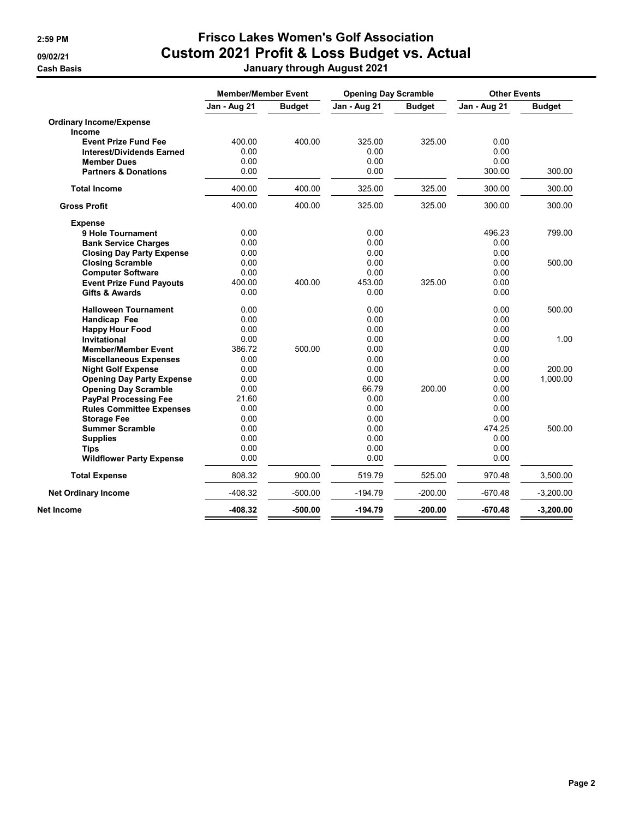## 2:59 PM Frisco Lakes Women's Golf Association 09/02/21 Custom 2021 Profit & Loss Budget vs. Actual Cash Basis January through August 2021

|                                  | <b>Member/Member Event</b> |               | <b>Opening Day Scramble</b> |               | <b>Other Events</b> |               |
|----------------------------------|----------------------------|---------------|-----------------------------|---------------|---------------------|---------------|
|                                  | Jan - Aug 21               | <b>Budget</b> | Jan - Aug 21                | <b>Budget</b> | Jan - Aug 21        | <b>Budget</b> |
| <b>Ordinary Income/Expense</b>   |                            |               |                             |               |                     |               |
| Income                           |                            |               |                             |               |                     |               |
| <b>Event Prize Fund Fee</b>      | 400.00                     | 400.00        | 325.00                      | 325.00        | 0.00                |               |
| <b>Interest/Dividends Earned</b> | 0.00                       |               | 0.00                        |               | 0.00                |               |
| <b>Member Dues</b>               | 0.00                       |               | 0.00                        |               | 0.00                |               |
| <b>Partners &amp; Donations</b>  | 0.00                       |               | 0.00                        |               | 300.00              | 300.00        |
| <b>Total Income</b>              | 400.00                     | 400.00        | 325.00                      | 325.00        | 300.00              | 300.00        |
| <b>Gross Profit</b>              | 400.00                     | 400.00        | 325.00                      | 325.00        | 300.00              | 300.00        |
| <b>Expense</b>                   |                            |               |                             |               |                     |               |
| 9 Hole Tournament                | 0.00                       |               | 0.00                        |               | 496.23              | 799.00        |
| <b>Bank Service Charges</b>      | 0.00                       |               | 0.00                        |               | 0.00                |               |
| <b>Closing Day Party Expense</b> | 0.00                       |               | 0.00                        |               | 0.00                |               |
| <b>Closing Scramble</b>          | 0.00                       |               | 0.00                        |               | 0.00                | 500.00        |
| <b>Computer Software</b>         | 0.00                       |               | 0.00                        |               | 0.00                |               |
| <b>Event Prize Fund Payouts</b>  | 400.00                     | 400.00        | 453.00                      | 325.00        | 0.00                |               |
| <b>Gifts &amp; Awards</b>        | 0.00                       |               | 0.00                        |               | 0.00                |               |
| <b>Halloween Tournament</b>      | 0.00                       |               | 0.00                        |               | 0.00                | 500.00        |
| Handicap Fee                     | 0.00                       |               | 0.00                        |               | 0.00                |               |
| <b>Happy Hour Food</b>           | 0.00                       |               | 0.00                        |               | 0.00                |               |
| <b>Invitational</b>              | 0.00                       |               | 0.00                        |               | 0.00                | 1.00          |
| <b>Member/Member Event</b>       | 386.72                     | 500.00        | 0.00                        |               | 0.00                |               |
| <b>Miscellaneous Expenses</b>    | 0.00                       |               | 0.00                        |               | 0.00                |               |
| <b>Night Golf Expense</b>        | 0.00                       |               | 0.00                        |               | 0.00                | 200.00        |
| <b>Opening Day Party Expense</b> | 0.00                       |               | 0.00                        |               | 0.00                | 1,000.00      |
| <b>Opening Day Scramble</b>      | 0.00                       |               | 66.79                       | 200.00        | 0.00                |               |
| <b>PayPal Processing Fee</b>     | 21.60                      |               | 0.00                        |               | 0.00                |               |
| <b>Rules Committee Expenses</b>  | 0.00                       |               | 0.00                        |               | 0.00                |               |
| <b>Storage Fee</b>               | 0.00                       |               | 0.00                        |               | 0.00                |               |
| <b>Summer Scramble</b>           | 0.00                       |               | 0.00                        |               | 474.25              | 500.00        |
| <b>Supplies</b>                  | 0.00                       |               | 0.00                        |               | 0.00                |               |
| <b>Tips</b>                      | 0.00                       |               | 0.00                        |               | 0.00                |               |
| <b>Wildflower Party Expense</b>  | 0.00                       |               | 0.00                        |               | 0.00                |               |
| <b>Total Expense</b>             | 808.32                     | 900.00        | 519.79                      | 525.00        | 970.48              | 3,500.00      |
| <b>Net Ordinary Income</b>       | $-408.32$                  | $-500.00$     | $-194.79$                   | $-200.00$     | $-670.48$           | $-3,200.00$   |
| Net Income                       | $-408.32$                  | $-500.00$     | $-194.79$                   | $-200.00$     | $-670.48$           | $-3,200.00$   |